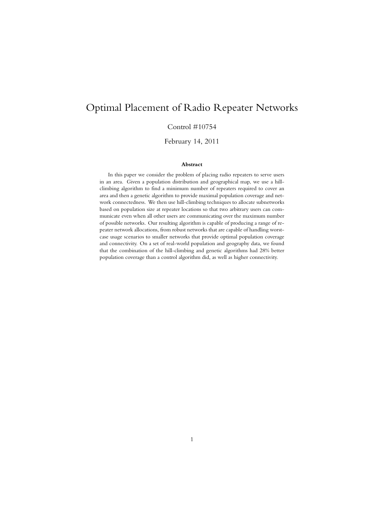# Optimal Placement of Radio Repeater Networks

#### Control #10754

February 14, 2011

#### **Abstract**

In this paper we consider the problem of placing radio repeaters to serve users in an area. Given a population distribution and geographical map, we use a hillclimbing algorithm to find a minimum number of repeaters required to cover an area and then a genetic algorithm to provide maximal population coverage and network connectedness. We then use hill-climbing techniques to allocate subnetworks based on population size at repeater locations so that two arbitrary users can communicate even when all other users are communicating over the maximum number of possible networks. Our resulting algorithm is capable of producing a range of repeater network allocations, from robust networks that are capable of handling worstcase usage scenarios to smaller networks that provide optimal population coverage and connectivity. On a set of real-world population and geography data, we found that the combination of the hill-climbing and genetic algorithms had 28% better population coverage than a control algorithm did, as well as higher connectivity.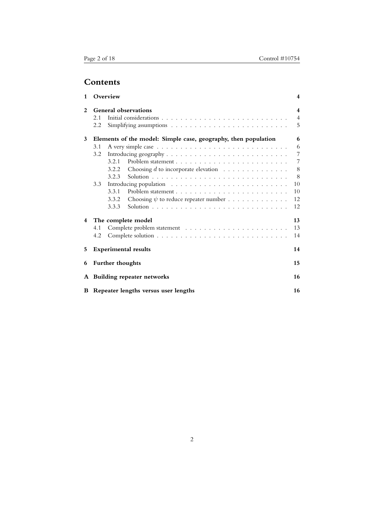# **Contents**

| 1 |                                                                | Overview                          |                                                                         | 4              |
|---|----------------------------------------------------------------|-----------------------------------|-------------------------------------------------------------------------|----------------|
| 2 | General observations                                           |                                   |                                                                         |                |
|   | 2.1                                                            |                                   |                                                                         | $\overline{4}$ |
|   | 2.2                                                            |                                   |                                                                         | 5              |
| 3 | Elements of the model: Simple case, geography, then population |                                   |                                                                         |                |
|   | 3.1                                                            |                                   |                                                                         | 6              |
|   | 3.2                                                            |                                   |                                                                         |                |
|   |                                                                | 3.2.1                             |                                                                         | 7              |
|   |                                                                | 3.2.2                             | Choosing $d$ to incorporate elevation $\ldots \ldots \ldots \ldots$     | 8              |
|   |                                                                | 3.2.3                             |                                                                         | 8              |
|   | 3.3                                                            |                                   |                                                                         | 10             |
|   |                                                                | 3.3.1                             |                                                                         | 10             |
|   |                                                                | 3.3.2                             | Choosing $\psi$ to reduce repeater number $\ldots \ldots \ldots \ldots$ | 12             |
|   |                                                                | 3.3.3                             |                                                                         | 12             |
| 4 | The complete model                                             |                                   |                                                                         | 13             |
|   | 4.1                                                            |                                   |                                                                         | 13             |
|   | 4.2                                                            |                                   |                                                                         | 14             |
| 5 |                                                                | <b>Experimental results</b><br>14 |                                                                         |                |
| 6 | Further thoughts                                               |                                   |                                                                         | 15             |
| A | <b>Building repeater networks</b>                              |                                   |                                                                         | 16             |
|   | <b>B</b> Repeater lengths versus user lengths                  |                                   |                                                                         | 16             |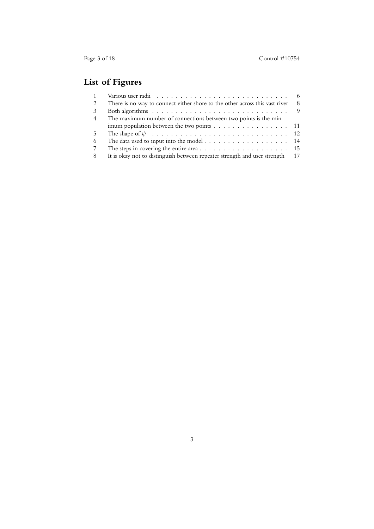# **List of Figures**

| $\overline{1}$ | Various user radii $\ldots \ldots \ldots \ldots \ldots \ldots \ldots \ldots \ldots \ldots \ldots$ |      |
|----------------|---------------------------------------------------------------------------------------------------|------|
| 2              | There is no way to connect either shore to the other across this vast river                       | -8   |
| 3              | Both algorithms $\ldots \ldots \ldots \ldots \ldots \ldots \ldots \ldots \ldots \ldots$           |      |
| $\overline{4}$ | The maximum number of connections between two points is the min-                                  |      |
|                | imum population between the two points 11                                                         |      |
| 5              |                                                                                                   |      |
| 6              |                                                                                                   |      |
| 7              |                                                                                                   |      |
| 8              | It is okay not to distinguish between repeater strength and user strength                         | - 17 |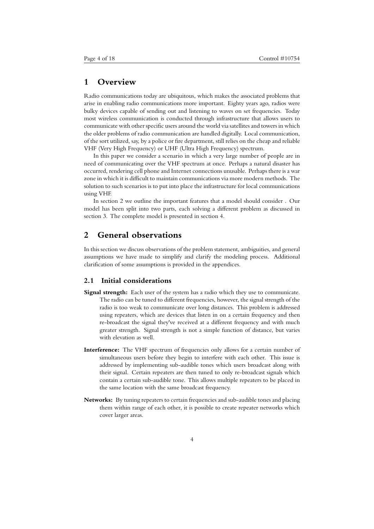### **1 Overview**

Radio communications today are ubiquitous, which makes the associated problems that arise in enabling radio communications more important. Eighty years ago, radios were bulky devices capable of sending out and listening to waves on set frequencies. Today most wireless communication is conducted through infrastructure that allows users to communicate with other specific users around the world via satellites and towers in which the older problems of radio communication are handled digitally. Local communication, of the sort utilized, say, by a police or fire department, still relies on the cheap and reliable VHF (Very High Frequency) or UHF (Ultra High Frequency) spectrum.

In this paper we consider a scenario in which a very large number of people are in need of communicating over the VHF spectrum at once. Perhaps a natural disaster has occurred, rendering cell phone and Internet connections unusable. Perhaps there is a war zone in which it is difficult to maintain communications via more modern methods. The solution to such scenarios is to put into place the infrastructure for local communications using VHF.

In section 2 we outline the important features that a model should consider . Our model has been split into two parts, each solving a different problem as discussed in section 3. The complete model is presented in section 4.

# **2 General observations**

In this section we discuss observations of the problem statement, ambiguities, and general assumptions we have made to simplify and clarify the modeling process. Additional clarification of some assumptions is provided in the appendices.

#### **2.1 Initial considerations**

- **Signal strength:** Each user of the system has a radio which they use to communicate. The radio can be tuned to different frequencies, however, the signal strength of the radio is too weak to communicate over long distances. This problem is addressed using repeaters, which are devices that listen in on a certain frequency and then re-broadcast the signal they've received at a different frequency and with much greater strength. Signal strength is not a simple function of distance, but varies with elevation as well.
- **Interference:** The VHF spectrum of frequencies only allows for a certain number of simultaneous users before they begin to interfere with each other. This issue is addressed by implementing sub-audible tones which users broadcast along with their signal. Certain repeaters are then tuned to only re-broadcast signals which contain a certain sub-audible tone. This allows multiple repeaters to be placed in the same location with the same broadcast frequency.
- **Networks:** By tuning repeaters to certain frequencies and sub-audible tones and placing them within range of each other, it is possible to create repeater networks which cover larger areas.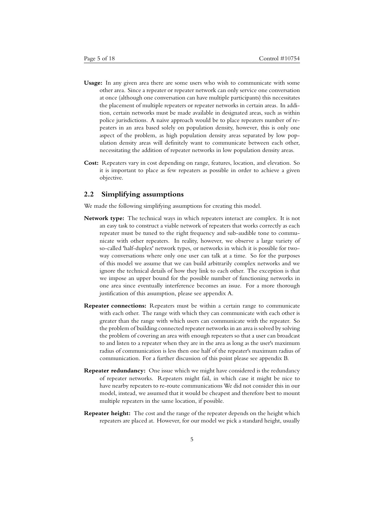- **Usage:** In any given area there are some users who wish to communicate with some other area. Since a repeater or repeater network can only service one conversation at once (although one conversation can have multiple participants) this necessitates the placement of multiple repeaters or repeater networks in certain areas. In addition, certain networks must be made available in designated areas, such as within police jurisdictions. A naive approach would be to place repeaters number of repeaters in an area based solely on population density, however, this is only one aspect of the problem, as high population density areas separated by low population density areas will definitely want to communicate between each other, necessitating the addition of repeater networks in low population density areas.
- **Cost:** Repeaters vary in cost depending on range, features, location, and elevation. So it is important to place as few repeaters as possible in order to achieve a given objective.

#### **2.2 Simplifying assumptions**

We made the following simplifying assumptions for creating this model.

- **Network type:** The technical ways in which repeaters interact are complex. It is not an easy task to construct a viable network of repeaters that works correctly as each repeater must be tuned to the right frequency and sub-audible tone to communicate with other repeaters. In reality, however, we observe a large variety of so-called 'half-duplex' network types, or networks in which it is possible for twoway conversations where only one user can talk at a time. So for the purposes of this model we assume that we can build arbitrarily complex networks and we ignore the technical details of how they link to each other. The exception is that we impose an upper bound for the possible number of functioning networks in one area since eventually interference becomes an issue. For a more thorough justification of this assumption, please see appendix A.
- **Repeater connections:** Repeaters must be within a certain range to communicate with each other. The range with which they can communicate with each other is greater than the range with which users can communicate with the repeater. So the problem of building connected repeater networks in an area is solved by solving the problem of covering an area with enough repeaters so that a user can broadcast to and listen to a repeater when they are in the area as long as the user's maximum radius of communication is less then one half of the repeater's maximum radius of communication. For a further discussion of this point please see appendix B.
- **Repeater redundancy:** One issue which we might have considered is the redundancy of repeater networks. Repeaters might fail, in which case it might be nice to have nearby repeaters to re-route communications We did not consider this in our model, instead, we assumed that it would be cheapest and therefore best to mount multiple repeaters in the same location, if possible.
- **Repeater height:** The cost and the range of the repeater depends on the height which repeaters are placed at. However, for our model we pick a standard height, usually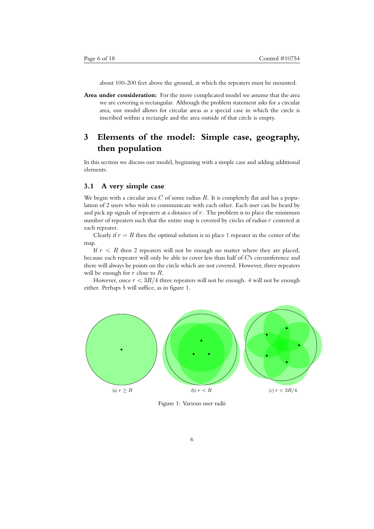about 100-200 feet above the ground, at which the repeaters must be mounted.

**Area under consideration:** For the more complicated model we assume that the area we are covering is rectangular. Although the problem statement asks for a circular area, our model allows for circular areas as a special case in which the circle is inscribed within a rectangle and the area outside of that circle is empty.

# **3 Elements of the model: Simple case, geography, then population**

In this section we discuss our model, beginning with a simple case and adding additional elements.

#### **3.1 A very simple case**

We begin with a circular area *C* of some radius *R*. It is completely flat and has a population of 2 users who wish to communicate with each other. Each user can be heard by and pick up signals of repeaters at a distance of *r*. The problem is to place the minimum number of repeaters such that the entire map is covered by circles of radius *r* centered at each repeater.

Clearly if  $r = R$  then the optimal solution is to place 1 repeater in the center of the map.

If  $r < R$  then 2 repeaters will not be enough no matter where they are placed, because each repeater will only be able to cover less than half of *C*'s circumference and there will always be points on the circle which are not covered. However, three repeaters will be enough for *r* close to *R*.

However, once  $r < 3R/4$  three repeaters will not be enough. 4 will not be enough either. Perhaps 5 will suffice, as in figure 1.



Figure 1: Various user radii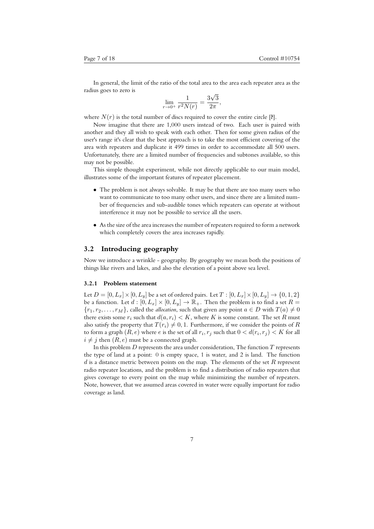In general, the limit of the ratio of the total area to the area each repeater area as the radius goes to zero is *√*

$$
\lim_{r \to 0^+} \frac{1}{r^2 N(r)} = \frac{3\sqrt{3}}{2\pi},
$$

where  $N(r)$  is the total number of discs required to cover the entire circle  $[?]$ .

Now imagine that there are 1,000 users instead of two. Each user is paired with another and they all wish to speak with each other. Then for some given radius of the user's range it's clear that the best approach is to take the most efficient covering of the area with repeaters and duplicate it 499 times in order to accommodate all 500 users. Unfortunately, there are a limited number of frequencies and subtones available, so this may not be possible.

This simple thought experiment, while not directly applicable to our main model, illustrates some of the important features of repeater placement.

- The problem is not always solvable. It may be that there are too many users who want to communicate to too many other users, and since there are a limited number of frequencies and sub-audible tones which repeaters can operate at without interference it may not be possible to service all the users.
- As the size of the area increases the number of repeaters required to form a network which completely covers the area increases rapidly.

#### **3.2 Introducing geography**

Now we introduce a wrinkle - geography. By geography we mean both the positions of things like rivers and lakes, and also the elevation of a point above sea level.

#### **3.2.1 Problem statement**

Let  $D = [0, L_x] \times [0, L_y]$  be a set of ordered pairs. Let  $T : [0, L_x] \times [0, L_y] \rightarrow \{0, 1, 2\}$ be a function. Let  $d : [0, L_x] \times [0, L_y] \rightarrow \mathbb{R}_+$ . Then the problem is to find a set  $R =$  ${r_1, r_2, \ldots, r_M}$ , called the *allocation*, such that given any point  $a \in D$  with  $T(a) \neq 0$ there exists some  $r_i$  such that  $d(a, r_i) < K$ , where K is some constant. The set R must also satisfy the property that  $T(r_i) \neq 0, 1$ . Furthermore, if we consider the points of *R* to form a graph  $(R, e)$  where  $e$  is the set of all  $r_i, r_j$  such that  $0 < d(r_i, r_j) < K$  for all  $i \neq j$  then  $(R, e)$  must be a connected graph.

In this problem *D* represents the area under consideration, The function *T* represents the type of land at a point: 0 is empty space, 1 is water, and 2 is land. The function *d* is a distance metric between points on the map. The elements of the set *R* represent radio repeater locations, and the problem is to find a distribution of radio repeaters that gives coverage to every point on the map while minimizing the number of repeaters. Note, however, that we assumed areas covered in water were equally important for radio coverage as land.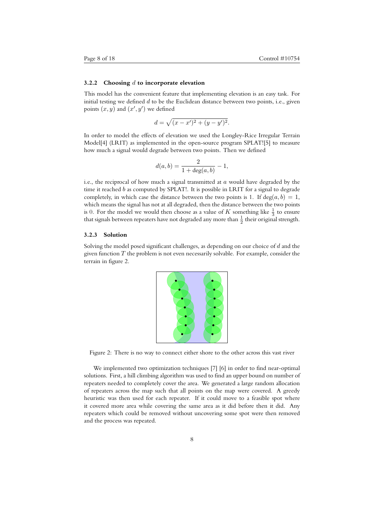#### **3.2.2 Choosing** *d* **to incorporate elevation**

This model has the convenient feature that implementing elevation is an easy task. For initial testing we defined *d* to be the Euclidean distance between two points, i.e., given points  $(x, y)$  and  $(x', y')$  we defined

$$
d = \sqrt{(x - x')^2 + (y - y')^2}.
$$

In order to model the effects of elevation we used the Longley-Rice Irregular Terrain Model[4] (LRIT) as implemented in the open-source program SPLAT![5] to measure how much a signal would degrade between two points. Then we defined

$$
d(a,b) = \frac{2}{1 + \deg(a,b)} - 1,
$$

i.e., the reciprocal of how much a signal transmitted at *a* would have degraded by the time it reached *b* as computed by SPLAT!. It is possible in LRIT for a signal to degrade completely, in which case the distance between the two points is 1. If deg( $a, b$ ) = 1, which means the signal has not at all degraded, then the distance between the two points is 0. For the model we would then choose as a value of  $K$  something like  $\frac{1}{3}$  to ensure that signals between repeaters have not degraded any more than  $\frac{1}{2}$  their original strength.

#### **3.2.3 Solution**

Solving the model posed significant challenges, as depending on our choice of *d* and the given function *T* the problem is not even necessarily solvable. For example, consider the terrain in figure 2.



Figure 2: There is no way to connect either shore to the other across this vast river

We implemented two optimization techniques [7] [6] in order to find near-optimal solutions. First, a hill climbing algorithm was used to find an upper bound on number of repeaters needed to completely cover the area. We generated a large random allocation of repeaters across the map such that all points on the map were covered. A greedy heuristic was then used for each repeater. If it could move to a feasible spot where it covered more area while covering the same area as it did before then it did. Any repeaters which could be removed without uncovering some spot were then removed and the process was repeated.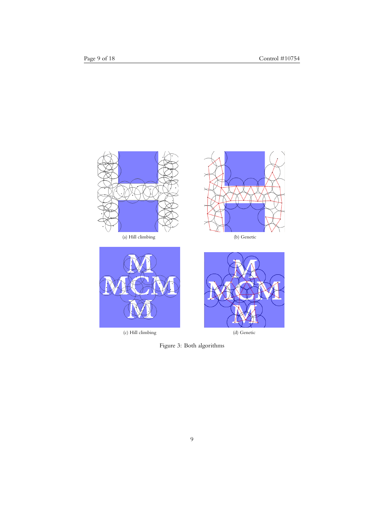

(c) Hill climbing (d) Genetic

Figure 3: Both algorithms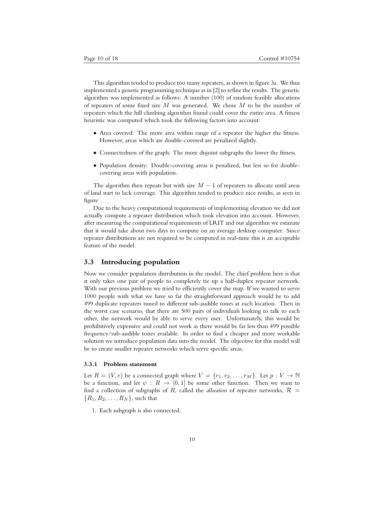This algorithm tended to produce too many repeaters, as shown in figure 3a. We thus implemented a genetic programming technique as in [2] to refine the results. The genetic algorithm was implemented as follows: A number (100) of random feasible allocations of repeaters of some fixed size *M* was generated. We chose *M* to be the number of repeaters which the hill climbing algorithm found could cover the entire area. A fitness heuristic was computed which took the following factors into account:

- *•* Area covered: The more area within range of a repeater the higher the fitness. However, areas which are double-covered are penalized slightly.
- Connectedness of the graph: The more disjoint subgraphs the lower the fitness.
- Population density: Double-covering areas is penalized, but less so for doublecovering areas with population.

The algorithm then repeats but with size  $M-1$  of repeaters to allocate until areas of land start to lack coverage. This algorithm tended to produce nice results, as seen in figure .

Due to the heavy computational requirements of implementing elevation we did not actually compute a repeater distribution which took elevation into account. However, after measuring the computational requirements of LRIT and our algorithm we estimate that it would take about two days to compute on an average desktop computer. Since repeater distributions are not required to be computed in real-time this is an acceptable feature of the model.

#### **3.3 Introducing population**

Now we consider population distribution in the model. The chief problem here is that it only takes one pair of people to completely tie up a half-duplex repeater network. With our previous problem we tried to efficiently cover the map. If we wanted to serve 1000 people with what we have so far the straightforward approach would be to add 499 duplicate repeaters tuned to different sub-audible tones at each location. Then in the worst case scenario, that there are 500 pairs of individuals looking to talk to each other, the network would be able to serve every user. Unfortunately, this would be prohibitively expensive and could not work as there would be far less than 499 possible frequency/sub-audible tones available. In order to find a cheaper and more workable solution we introduce population data into the model. The objective for this model will be to create smaller repeater networks which serve specific areas.

#### **3.3.1 Problem statement**

Let  $R = (V, e)$  be a connected graph where  $V = \{r_1, r_2, \ldots, r_M\}$ . Let  $p: V \to \mathbb{N}$ be a function, and let  $\psi : R \to [0,1]$  be some other function. Then we want to find a collection of subgraphs of *R*, called the *allocation* of repeater networks,  $\mathcal{R}$  =  ${R_1, R_2, \ldots, R_N}$ , such that

1. Each subgraph is also connected.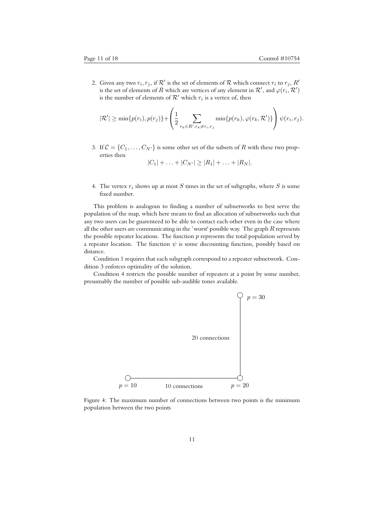2. Given any two  $r_i, r_j$ , if  $\mathcal{R}'$  is the set of elements of  $\mathcal R$  which connect  $r_i$  to  $r_j, R'$ is the set of elements of  $R$  which are vertices of any element in  $\mathcal{R}^\prime,$  and  $\varphi(r_i,\mathcal{R}^\prime)$ is the number of elements of  $\mathcal{R}'$  which  $r_i$  is a vertex of, then

$$
|\mathcal{R}'| \ge \min\{p(r_i), p(r_j)\} + \left(\frac{1}{2} \sum_{r_k \in R', r_k \ne r_i, r_j} \min\{p(r_k), \varphi(r_k, \mathcal{R}')\}\right) \psi(r_i, r_j).
$$

3. If  $C = \{C_1, \ldots, C_{N'}\}$  is some other set of the subsets of *R* with these two properties then

$$
|C_1| + \ldots + |C_{N'}| \ge |R_1| + \ldots + |R_N|.
$$

4. The vertex *r<sup>i</sup>* shows up at most *S* times in the set of subgraphs, where *S* is some fixed number.

This problem is analogous to finding a number of subnetworks to best serve the population of the map, which here means to find an allocation of subnetworks such that any two users can be guarenteed to be able to contact each other even in the case where all the other users are communicating in the `worst' possible way. The graph *R* represents the possible repeater locations. The function *p* represents the total population served by a repeater location. The function  $\psi$  is some discounting function, possibly based on distance.

Condition 1 requires that each subgraph correspond to a repeater subnetwork. Condition 3 enforces optimality of the solution.

Condition 4 restricts the possible number of repeaters at a point by some number, presumably the number of possible sub-audible tones available.



Figure 4: The maximum number of connections between two points is the minimum population between the two points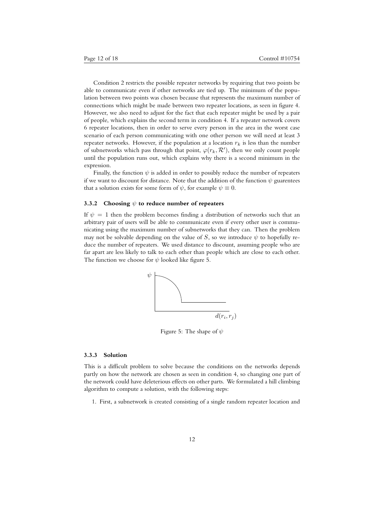Condition 2 restricts the possible repeater networks by requiring that two points be able to communicate even if other networks are tied up. The minimum of the population between two points was chosen because that represents the maximum number of connections which might be made between two repeater locations, as seen in figure 4. However, we also need to adjust for the fact that each repeater might be used by a pair of people, which explains the second term in condition 4. If a repeater network covers 6 repeater locations, then in order to serve every person in the area in the worst case scenario of each person communicating with one other person we will need at least 3 repeater networks. However, if the population at a location  $r_k$  is less than the number of subnetworks which pass through that point,  $\varphi(r_k, \mathcal{R}')$ , then we only count people until the population runs out, which explains why there is a second minimum in the expression.

Finally, the function  $\psi$  is added in order to possibly reduce the number of repeaters if we want to discount for distance. Note that the addition of the function  $\psi$  guarentees that a solution exists for some form of  $\psi$ , for example  $\psi \equiv 0$ .

#### **3.3.2 Choosing** *ψ* **to reduce number of repeaters**

If  $\psi = 1$  then the problem becomes finding a distribution of networks such that an arbitrary pair of users will be able to communicate even if every other user is communicating using the maximum number of subnetworks that they can. Then the problem may not be solvable depending on the value of *S*, so we introduce  $\psi$  to hopefully reduce the number of repeaters. We used distance to discount, assuming people who are far apart are less likely to talk to each other than people which are close to each other. The function we choose for  $\psi$  looked like figure 5.



Figure 5: The shape of *ψ*

#### **3.3.3 Solution**

This is a difficult problem to solve because the conditions on the networks depends partly on how the network are chosen as seen in condition 4, so changing one part of the network could have deleterious effects on other parts. We formulated a hill climbing algorithm to compute a solution, with the following steps:

1. First, a subnetwork is created consisting of a single random repeater location and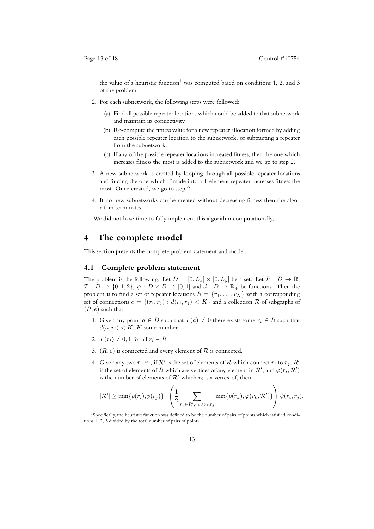the value of a heuristic function<sup>1</sup> was computed based on conditions 1, 2, and 3 of the problem.

- 2. For each subnetwork, the following steps were followed:
	- (a) Find all possible repeater locations which could be added to that subnetwork and maintain its connectivity.
	- (b) Re-compute the fitness value for a new repeater allocation formed by adding each possible repeater location to the subnetwork, or subtracting a repeater from the subnetwork.
	- (c) If any of the possible repeater locations increased fitness, then the one which increases fitness the most is added to the subnetwork and we go to step 2.
- 3. A new subnetwork is created by looping through all possible repeater locations and finding the one which if made into a 1-element repeater increases fitness the most. Once created, we go to step 2.
- 4. If no new subnetworks can be created without decreasing fitness then the algorithm terminates.

We did not have time to fully implement this algorithm computationally.

### **4 The complete model**

This section presents the complete problem statement and model.

#### **4.1 Complete problem statement**

The problem is the following: Let  $D = [0, L_x] \times [0, L_y]$  be a set. Let  $P : D \to \mathbb{R}$ ,  $T: D \to \{0, 1, 2\}, \psi: D \times D \to [0, 1]$  and  $d: D \to \mathbb{R}_+$  be functions. Then the problem is to find a set of repeater locations  $R = \{r_1, \ldots, r_N\}$  with a corresponding set of connections  $e = \{(r_i, r_j) : d(r_i, r_j) < K\}$  and a collection  ${\cal R}$  of subgraphs of (*R, e*) such that

- 1. Given any point  $a \in D$  such that  $T(a) \neq 0$  there exists some  $r_i \in R$  such that  $d(a, r_i) < K$ , *K* some number.
- 2.  $T(r_i) \neq 0, 1$  for all  $r_i \in R$ .
- 3.  $(R, e)$  is connected and every element of  $R$  is connected.
- 4. Given any two  $r_i, r_j$ , if  $\mathcal{R}'$  is the set of elements of  $\mathcal R$  which connect  $r_i$  to  $r_j, R'$ is the set of elements of  $R$  which are vertices of any element in  $\mathcal{R}^\prime,$  and  $\varphi(r_i,\mathcal{R}^\prime)$ is the number of elements of  $\mathcal{R}'$  which  $r_i$  is a vertex of, then

$$
|\mathcal{R}'| \ge \min\{p(r_i), p(r_j)\} + \left(\frac{1}{2} \sum_{r_k \in R', r_k \ne r_i, r_j} \min\{p(r_k), \varphi(r_k, \mathcal{R}')\}\right) \psi(r_i, r_j).
$$

<sup>&</sup>lt;sup>1</sup>Specifically, the heuristic function was defined to be the number of pairs of points which satisfied conditions 1, 2, 3 divided by the total number of pairs of points.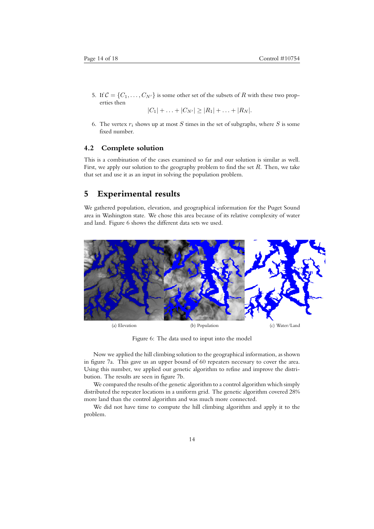5. If  $C = \{C_1, \ldots, C_{N'}\}$  is some other set of the subsets of R with these two properties then

 $|C_1| + \ldots + |C_{N'}| \ge |R_1| + \ldots + |R_N|$ .

6. The vertex  $r_i$  shows up at most  $S$  times in the set of subgraphs, where  $S$  is some fixed number.

#### **4.2 Complete solution**

This is a combination of the cases examined so far and our solution is similar as well. First, we apply our solution to the geography problem to find the set *R*. Then, we take that set and use it as an input in solving the population problem.

### **5 Experimental results**

We gathered population, elevation, and geographical information for the Puget Sound area in Washington state. We chose this area because of its relative complexity of water and land. Figure 6 shows the different data sets we used.



Figure 6: The data used to input into the model

Now we applied the hill climbing solution to the geographical information, as shown in figure 7a. This gave us an upper bound of 60 repeaters necessary to cover the area. Using this number, we applied our genetic algorithm to refine and improve the distribution. The results are seen in figure 7b.

We compared the results of the genetic algorithm to a control algorithm which simply distributed the repeater locations in a uniform grid. The genetic algorithm covered 28% more land than the control algorithm and was much more connected.

We did not have time to compute the hill climbing algorithm and apply it to the problem.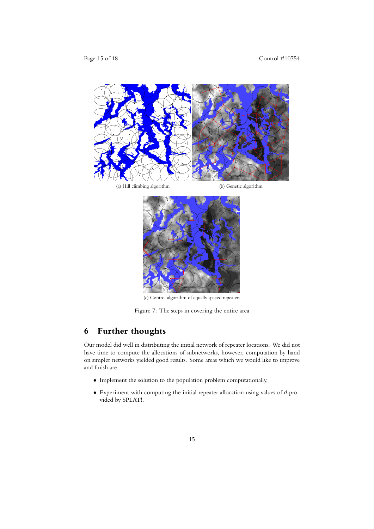



(c) Control algorithm of equally spaced repeaters

Figure 7: The steps in covering the entire area

# **6 Further thoughts**

Our model did well in distributing the initial network of repeater locations. We did not have time to compute the allocations of subnetworks, however, computation by hand on simpler networks yielded good results. Some areas which we would like to improve and finish are

- *•* Implement the solution to the population problem computationally.
- *•* Experiment with computing the initial repeater allocation using values of *d* provided by SPLAT!.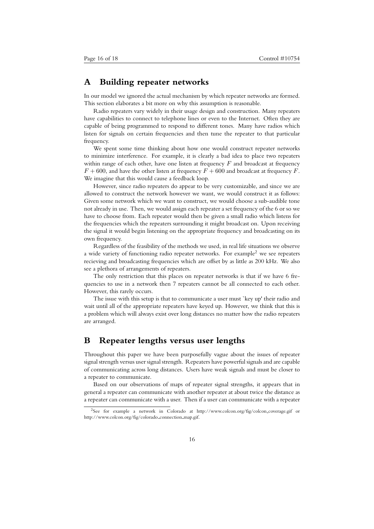# **A Building repeater networks**

In our model we ignored the actual mechanism by which repeater networks are formed. This section elaborates a bit more on why this assumption is reasonable.

Radio repeaters vary widely in their usage design and construction. Many repeaters have capabilities to connect to telephone lines or even to the Internet. Often they are capable of being programmed to respond to different tones. Many have radios which listen for signals on certain frequencies and then tune the repeater to that particular frequency.

We spent some time thinking about how one would construct repeater networks to minimize interference. For example, it is clearly a bad idea to place two repeaters within range of each other, have one listen at frequency *F* and broadcast at frequency  $F + 600$ , and have the other listen at frequency  $F + 600$  and broadcast at frequency *F*. We imagine that this would cause a feedback loop.

However, since radio repeaters do appear to be very customizable, and since we are allowed to construct the network however we want, we would construct it as follows: Given some network which we want to construct, we would choose a sub-audible tone not already in use. Then, we would assign each repeater a set frequency of the 6 or so we have to choose from. Each repeater would then be given a small radio which listens for the frequencies which the repeaters surrounding it might broadcast on. Upon receiving the signal it would begin listening on the appropriate frequency and broadcasting on its own frequency.

Regardless of the feasibility of the methods we used, in real life situations we observe a wide variety of functioning radio repeater networks. For example<sup>2</sup> we see repeaters recieving and broadcasting frequencies which are offset by as little as 200 kHz. We also see a plethora of arrangements of repeaters.

The only restriction that this places on repeater networks is that if we have 6 frequencies to use in a network then 7 repeaters cannot be all connected to each other. However, this rarely occurs.

The issue with this setup is that to communicate a user must `key up' their radio and wait until all of the appropriate repeaters have keyed up. However, we think that this is a problem which will always exist over long distances no matter how the radio repeaters are arranged.

## **B Repeater lengths versus user lengths**

Throughout this paper we have been purposefully vague about the issues of repeater signal strength versus user signal strength. Repeaters have powerful signals and are capable of communicating across long distances. Users have weak signals and must be closer to a repeater to communicate.

Based on our observations of maps of repeater signal strengths, it appears that in general a repeater can communicate with another repeater at about twice the distance as a repeater can communicate with a user. Then if a user can communicate with a repeater

<sup>2</sup>See for example a network in Colorado at http://www.colcon.org/fig/colcon coverage.gif or http://www.colcon.org/fig/colorado connection map.gif.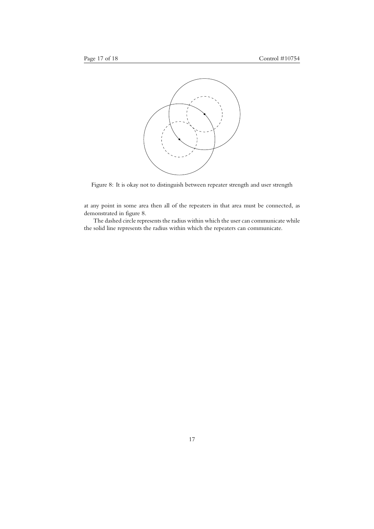

Figure 8: It is okay not to distinguish between repeater strength and user strength

at any point in some area then all of the repeaters in that area must be connected, as demonstrated in figure 8.

The dashed circle represents the radius within which the user can communicate while the solid line represents the radius within which the repeaters can communicate.